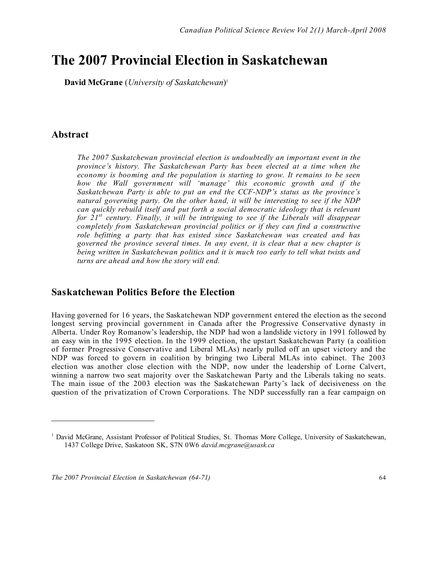# **The 2007 Provincial Election in Saskatchewan**

**David McGrane** (*University of Saskatchewan*) 1

# **Abstract**

l

*The 2007 Saskatchewan provincial election is undoubtedly an important event in the province's history. The Saskatchewan Party has been elected at a time when the economy is booming and the population is starting to grow. It remains to be seen how the Wall government will 'manage' this economic growth and if the Saskatchewan Party is able to put an end the CCF-NDP's status as the province's natural governing party. On the other hand, it will be interesting to see if the NDP can quickly rebuild itself and put forth a social democratic ideology that is relevant for 21st century. Finally, it will be intriguing to see if the Liberals will disappear completely from Saskatchewan provincial politics or if they can find a constructive role befitting a party that has existed since Saskatchewan was created and has governed the province several times. In any event, it is clear that a new chapter is being written in Saskatchewan politics and it is much too early to tell what twists and turns are ahead and how the story will end.*

## **Saskatchewan Politics Before the Election**

Having governed for 16 years, the Saskatchewan NDP government entered the election as the second longest serving provincial government in Canada after the Progressive Conservative dynasty in Alberta. Under Roy Romanow's leadership, the NDP had won a landslide victory in 1991 followed by an easy win in the 1995 election. In the 1999 election, the upstart Saskatchewan Party (a coalition of former Progressive Conservative and Liberal MLAs) nearly pulled off an upset victory and the NDP was forced to govern in coalition by bringing two Liberal MLAs into cabinet. The 2003 election was another close election with the NDP, now under the leadership of Lorne Calvert, winning a narrow two seat majority over the Saskatchewan Party and the Liberals taking no seats. The main issue of the 2003 election was the Saskatchewan Party's lack of decisiveness on the question of the privatization of Crown Corporations. The NDP successfully ran a fear campaign on

<sup>1</sup> David McGrane, Assistant Professor of Political Studies, St. Thomas More College, University of Saskatchewan, 1437 College Drive, Saskatoon SK, S7N 0W6 *david.mcgrane@usask.ca*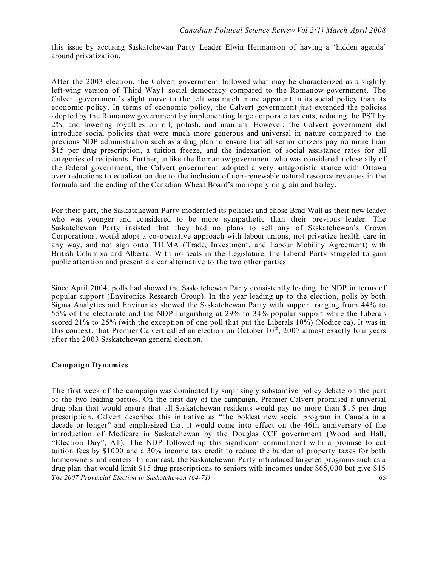this issue by accusing Saskatchewan Party Leader Elwin Hermanson of having a 'hidden agenda' around privatization.

After the 2003 election, the Calvert government followed what may be characterized as a slightly left-wing version of Third Way1 social democracy compared to the Romanow government. The Calvert government's slight move to the left was much more apparent in its social policy than its economic policy. In terms of economic policy, the Calvert government just extended the policies adopted by the Romanow government by implementing large corporate tax cuts, reducing the PST by 2%, and lowering royalties on oil, potash, and uranium. However, the Calvert government did introduce social policies that were much more generous and universal in nature compared to the previous NDP administration such as a drug plan to ensure that all senior citizens pay no more than \$15 per drug prescription, a tuition freeze, and the indexation of social assistance rates for all categories of recipients. Further, unlike the Romanow government who was considered a close ally of the federal government, the Calvert government adopted a very antagonistic stance with Ottawa over reductions to equalization due to the inclusion of non-renewable natural resource revenues in the formula and the ending of the Canadian Wheat Board's monopoly on grain and barley.

For their part, the Saskatchewan Party moderated its policies and chose Brad Wall as their new leader who was younger and considered to be more sympathetic than their previous leader. The Saskatchewan Party insisted that they had no plans to sell any of Saskatchewan's Crown Corporations, would adopt a co-operative approach with labour unions, not privatize health care in any way, and not sign onto TILMA (Trade, Investment, and Labour Mobility Agreement) with British Columbia and Alberta. With no seats in the Legislature, the Liberal Party struggled to gain public attention and present a clear alternative to the two other parties.

Since April 2004, polls had showed the Saskatchewan Party consistently leading the NDP in terms of popular support (Environics Research Group). In the year leading up to the election, polls by both Sigma Analytics and Environics showed the Saskatchewan Party with support ranging from 44% to 55% of the electorate and the NDP languishing at 29% to 34% popular support while the Liberals scored 21% to 25% (with the exception of one poll that put the Liberals 10%) (Nodice.ca). It was in this context, that Premier Calvert called an election on October  $10^{th}$ , 2007 almost exactly four years after the 2003 Saskatchewan general election.

#### **Campaign Dynamics**

*The 2007 Provincial Election in Saskatchewan (64-71)* 65 The first week of the campaign was dominated by surprisingly substantive policy debate on the part of the two leading parties. On the first day of the campaign, Premier Calvert promised a universal drug plan that would ensure that all Saskatchewan residents would pay no more than \$15 per drug prescription. Calvert described this initiative as "the boldest new social program in Canada in a decade or longer" and emphasized that it would come into effect on the 46th anniversary of the introduction of Medicare in Saskatchewan by the Douglas CCF government (Wood and Hall, "Election Day", A1). The NDP followed up this significant commitment with a promise to cut tuition fees by \$1000 and a 30% income tax credit to reduce the burden of property taxes for both homeowners and renters. In contrast, the Saskatchewan Party introduced targeted programs such as a drug plan that would limit \$15 drug prescriptions to seniors with incomes under \$65,000 but give \$15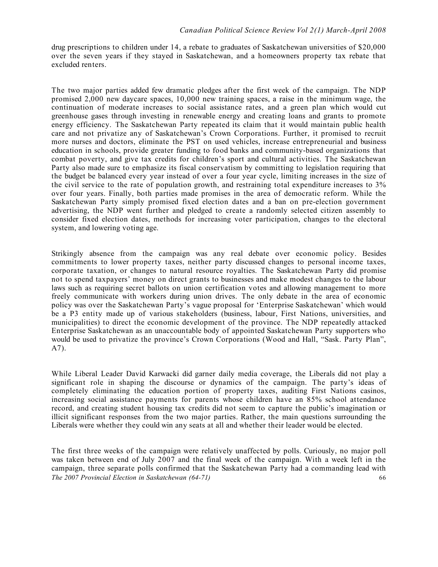drug prescriptions to children under 14, a rebate to graduates of Saskatchewan universities of \$20,000 over the seven years if they stayed in Saskatchewan, and a homeowners property tax rebate that excluded renters.

The two major parties added few dramatic pledges after the first week of the campaign. The NDP promised 2,000 new daycare spaces, 10,000 new training spaces, a raise in the minimum wage, the continuation of moderate increases to social assistance rates, and a green plan which would cut greenhouse gases through investing in renewable energy and creating loans and grants to promote energy efficiency. The Saskatchewan Party repeated its claim that it would maintain public health care and not privatize any of Saskatchewan's Crown Corporations. Further, it promised to recruit more nurses and doctors, eliminate the PST on used vehicles, increase entrepreneurial and business education in schools, provide greater funding to food banks and community-based organizations that combat poverty, and give tax credits for children's sport and cultural activities. The Saskatchewan Party also made sure to emphasize its fiscal conservatism by committing to legislation requiring that the budget be balanced every year instead of over a four year cycle, limiting increases in the size of the civil service to the rate of population growth, and restraining total expenditure increases to 3% over four years. Finally, both parties made promises in the area of democratic reform. While the Saskatchewan Party simply promised fixed election dates and a ban on pre-election government advertising, the NDP went further and pledged to create a randomly selected citizen assembly to consider fixed election dates, methods for increasing voter participation, changes to the electoral system, and lowering voting age.

Strikingly absence from the campaign was any real debate over economic policy. Besides commitments to lower property taxes, neither party discussed changes to personal income taxes, corporate taxation, or changes to natural resource royalties. The Saskatchewan Party did promise not to spend taxpayers' money on direct grants to businesses and make modest changes to the labour laws such as requiring secret ballots on union certification votes and allowing management to more freely communicate with workers during union drives. The only debate in the area of economic policy was over the Saskatchewan Party's vague proposal for 'Enterprise Saskatchewan' which would be a P3 entity made up of various stakeholders (business, labour, First Nations, universities, and municipalities) to direct the economic development of the province. The NDP repeatedly attacked Enterprise Saskatchewan as an unaccountable body of appointed Saskatchewan Party supporters who would be used to privatize the province's Crown Corporations (Wood and Hall, "Sask. Party Plan", A7).

While Liberal Leader David Karwacki did garner daily media coverage, the Liberals did not play a significant role in shaping the discourse or dynamics of the campaign. The party's ideas of completely eliminating the education portion of property taxes, auditing First Nations casinos, increasing social assistance payments for parents whose children have an 85% school attendance record, and creating student housing tax credits did not seem to capture the public's imagination or illicit significant responses from the two major parties. Rather, the main questions surrounding the Liberals were whether they could win any seats at all and whether their leader would be elected.

*The 2007 Provincial Election in Saskatchewan (64-71)* 66 The first three weeks of the campaign were relatively unaffected by polls. Curiously, no major poll was taken between end of July 2007 and the final week of the campaign. With a week left in the campaign, three separate polls confirmed that the Saskatchewan Party had a commanding lead with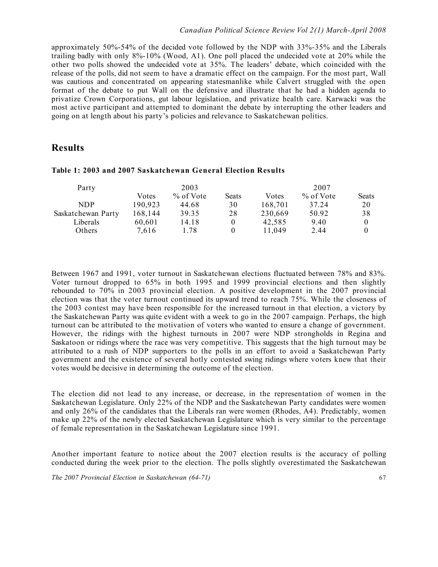approximately 50%-54% of the decided vote followed by the NDP with 33%-35% and the Liberals trailing badly with only 8%-10% (Wood, A1). One poll placed the undecided vote at 20% while the other two polls showed the undecided vote at 35%. The leaders' debate, which coincided with the release of the polls, did not seem to have a dramatic effect on the campaign. For the most part, Wall was cautious and concentrated on appearing statesmanlike while Calvert struggled with the open format of the debate to put Wall on the defensive and illustrate that he had a hidden agenda to privatize Crown Corporations, gut labour legislation, and privatize health care. Karwacki was the most active participant and attempted to dominant the debate by interrupting the other leaders and going on at length about his party's policies and relevance to Saskatchewan politics.

# **Results**

| Party              | 2003    |           |       | 2007    |           |       |
|--------------------|---------|-----------|-------|---------|-----------|-------|
|                    | Votes   | % of Vote | Seats | Votes   | % of Vote | Seats |
| NDP                | 190,923 | 44.68     | 30    | 168,701 | 37.24     | 20    |
| Saskatchewan Party | 168,144 | 39.35     | 28    | 230,669 | 50.92     | 38    |
| Liberals           | 60,601  | 14.18     | 0     | 42,585  | 9.40      |       |
| Others             | 7.616   | 1.78      |       | 11,049  | 2.44      |       |

#### **Table 1: 2003 and 2007 Saskatchewan General Election Results**

Between 1967 and 1991, voter turnout in Saskatchewan elections fluctuated between 78% and 83%. Voter turnout dropped to 65% in both 1995 and 1999 provincial elections and then slightly rebounded to 70% in 2003 provincial election. A positive development in the 2007 provincial election was that the voter turnout continued its upward trend to reach 75%. While the closeness of the 2003 contest may have been responsible for the increased turnout in that election, a victory by the Saskatchewan Party was quite evident with a week to go in the 2007 campaign. Perhaps, the high turnout can be attributed to the motivation of voters who wanted to ensure a change of government. However, the ridings with the highest turnouts in 2007 were NDP strongholds in Regina and Saskatoon or ridings where the race was very competitive. This suggests that the high turnout may be attributed to a rush of NDP supporters to the polls in an effort to avoid a Saskatchewan Party government and the existence of several hotly contested swing ridings where voters knew that their votes would be decisive in determining the outcome of the election.

The election did not lead to any increase, or decrease, in the representation of women in the Saskatchewan Legislature. Only 22% of the NDP and the Saskatchewan Party candidates were women and only 26% of the candidates that the Liberals ran were women (Rhodes, A4). Predictably, women make up 22% of the newly elected Saskatchewan Legislature which is very similar to the percentage of female representation in the Saskatchewan Legislature since 1991.

Another important feature to notice about the 2007 election results is the accuracy of polling conducted during the week prior to the election. The polls slightly overestimated the Saskatchewan

*The 2007 Provincial Election in Saskatchewan (64-71)* 67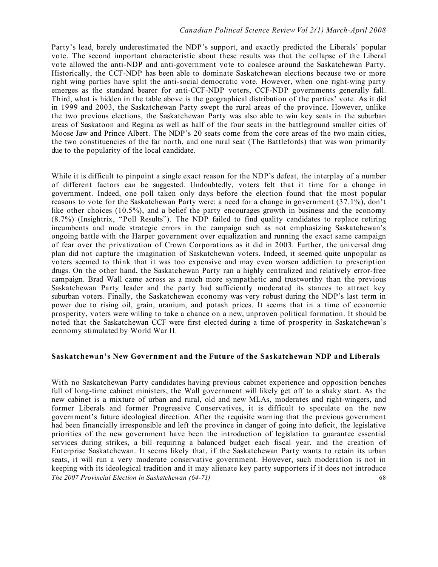#### *Canadian Political Science Review Vol 2(1) March-April 2008*

Party's lead, barely underestimated the NDP's support, and exactly predicted the Liberals' popular vote. The second important characteristic about these results was that the collapse of the Liberal vote allowed the anti-NDP and anti-government vote to coalesce around the Saskatchewan Party. Historically, the CCF-NDP has been able to dominate Saskatchewan elections because two or more right wing parties have split the anti-social democratic vote. However, when one right-wing party emerges as the standard bearer for anti-CCF-NDP voters, CCF-NDP governments generally fall. Third, what is hidden in the table above is the geographical distribution of the parties' vote. As it did in 1999 and 2003, the Saskatchewan Party swept the rural areas of the province. However, unlike the two previous elections, the Saskatchewan Party was also able to win key seats in the suburban areas of Saskatoon and Regina as well as half of the four seats in the battleground smaller cities of Moose Jaw and Prince Albert. The NDP's 20 seats come from the core areas of the two main cities, the two constituencies of the far north, and one rural seat (The Battlefords) that was won primarily due to the popularity of the local candidate.

While it is difficult to pinpoint a single exact reason for the NDP's defeat, the interplay of a number of different factors can be suggested. Undoubtedly, voters felt that it time for a change in government. Indeed, one poll taken only days before the election found that the most popular reasons to vote for the Saskatchewan Party were: a need for a change in government (37.1%), don't like other choices (10.5%), and a belief the party encourages growth in business and the economy (8.7%) (Insightrix, "Poll Results"). The NDP failed to find quality candidates to replace retiring incumbents and made strategic errors in the campaign such as not emphasizing Saskatchewan's ongoing battle with the Harper government over equalization and running the exact same campaign of fear over the privatization of Crown Corporations as it did in 2003. Further, the universal drug plan did not capture the imagination of Saskatchewan voters. Indeed, it seemed quite unpopular as voters seemed to think that it was too expensive and may even worsen addiction to prescription drugs. On the other hand, the Saskatchewan Party ran a highly centralized and relatively error-free campaign. Brad Wall came across as a much more sympathetic and trustworthy than the previous Saskatchewan Party leader and the party had sufficiently moderated its stances to attract key suburban voters. Finally, the Saskatchewan economy was very robust during the NDP's last term in power due to rising oil, grain, uranium, and potash prices. It seems that in a time of economic prosperity, voters were willing to take a chance on a new, unproven political formation. It should be noted that the Saskatchewan CCF were first elected during a time of prosperity in Saskatchewan's economy stimulated by World War II.

#### **Saskatchewan's New Government and the Future of the Saskatchewan NDP and Liberals**

*The 2007 Provincial Election in Saskatchewan (64-71)* 68 With no Saskatchewan Party candidates having previous cabinet experience and opposition benches full of long-time cabinet ministers, the Wall government will likely get off to a shaky start. As the new cabinet is a mixture of urban and rural, old and new MLAs, moderates and right-wingers, and former Liberals and former Progressive Conservatives, it is difficult to speculate on the new government's future ideological direction. After the requisite warning that the previous government had been financially irresponsible and left the province in danger of going into deficit, the legislative priorities of the new government have been the introduction of legislation to guarantee essential services during strikes, a bill requiring a balanced budget each fiscal year, and the creation of Enterprise Saskatchewan. It seems likely that, if the Saskatchewan Party wants to retain its urban seats, it will run a very moderate conservative government. However, such moderation is not in keeping with its ideological tradition and it may alienate key party supporters if it does not introduce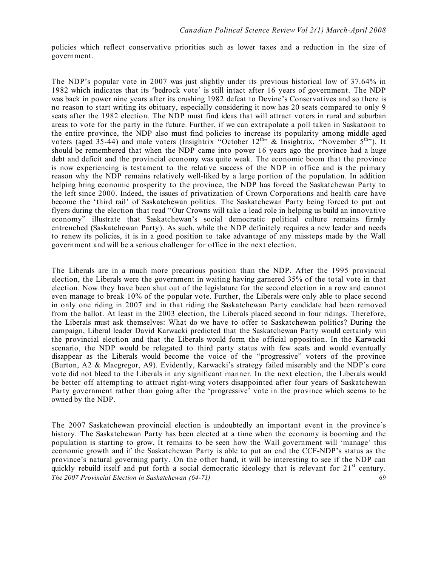policies which reflect conservative priorities such as lower taxes and a reduction in the size of government.

The NDP's popular vote in 2007 was just slightly under its previous historical low of 37.64% in 1982 which indicates that its 'bedrock vote' is still intact after 16 years of government. The NDP was back in power nine years after its crushing 1982 defeat to Devine's Conservatives and so there is no reason to start writing its obituary, especially considering it now has 20 seats compared to only 9 seats after the 1982 election. The NDP must find ideas that will attract voters in rural and suburban areas to vote for the party in the future. Further, if we can extrapolate a poll taken in Saskatoon to the entire province, the NDP also must find policies to increase its popularity among middle aged voters (aged 35-44) and male voters (Insightrix "October 12<sup>th</sup>" & Insightrix, "November 5<sup>th</sup>"). It should be remembered that when the NDP came into power 16 years ago the province had a huge debt and deficit and the provincial economy was quite weak. The economic boom that the province is now experiencing is testament to the relative success of the NDP in office and is the primary reason why the NDP remains relatively well-liked by a large portion of the population. In addition helping bring economic prosperity to the province, the NDP has forced the Saskatchewan Party to the left since 2000. Indeed, the issues of privatization of Crown Corporations and health care have become the 'third rail' of Saskatchewan politics. The Saskatchewan Party being forced to put out flyers during the election that read "Our Crowns will take a lead role in helping us build an innovative economy" illustrate that Saskatchewan's social democratic political culture remains firmly entrenched (Saskatchewan Party). As such, while the NDP definitely requires a new leader and needs to renew its policies, it is in a good position to take advantage of any missteps made by the Wall government and will be a serious challenger for office in the next election.

The Liberals are in a much more precarious position than the NDP. After the 1995 provincial election, the Liberals were the government in waiting having garnered 35% of the total vote in that election. Now they have been shut out of the legislature for the second election in a row and cannot even manage to break 10% of the popular vote. Further, the Liberals were only able to place second in only one riding in 2007 and in that riding the Saskatchewan Party candidate had been removed from the ballot. At least in the 2003 election, the Liberals placed second in four ridings. Therefore, the Liberals must ask themselves: What do we have to offer to Saskatchewan politics? During the campaign, Liberal leader David Karwacki predicted that the Saskatchewan Party would certainly win the provincial election and that the Liberals would form the official opposition. In the Karwacki scenario, the NDP would be relegated to third party status with few seats and would eventually disappear as the Liberals would become the voice of the "progressive" voters of the province (Burton, A2 & Macgregor, A9). Evidently, Karwacki's strategy failed miserably and the NDP's core vote did not bleed to the Liberals in any significant manner. In the next election, the Liberals would be better off attempting to attract right-wing voters disappointed after four years of Saskatchewan Party government rather than going after the 'progressive' vote in the province which seems to be owned by the NDP.

*The 2007 Provincial Election in Saskatchewan (64-71)* 69 The 2007 Saskatchewan provincial election is undoubtedly an important event in the province's history. The Saskatchewan Party has been elected at a time when the economy is booming and the population is starting to grow. It remains to be seen how the Wall government will 'manage' this economic growth and if the Saskatchewan Party is able to put an end the CCF-NDP's status as the province's natural governing party. On the other hand, it will be interesting to see if the NDP can quickly rebuild itself and put forth a social democratic ideology that is relevant for  $21<sup>st</sup>$  century.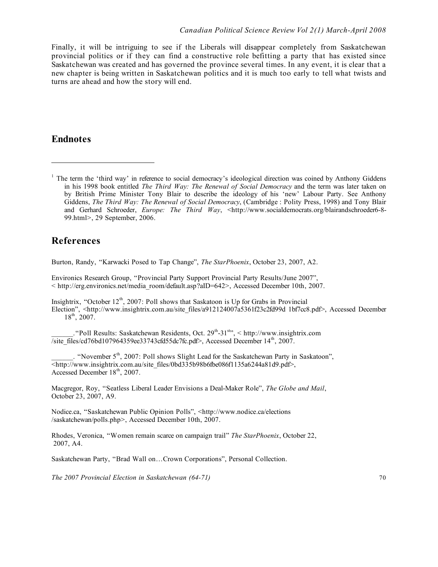Finally, it will be intriguing to see if the Liberals will disappear completely from Saskatchewan provincial politics or if they can find a constructive role befitting a party that has existed since Saskatchewan was created and has governed the province several times. In any event, it is clear that a new chapter is being written in Saskatchewan politics and it is much too early to tell what twists and turns are ahead and how the story will end.

## **Endnotes**

 $\overline{a}$ 

## **References**

Burton, Randy, "Karwacki Posed to Tap Change", *The StarPhoenix*, October 23, 2007, A2.

Environics Research Group, "Provincial Party Support Provincial Party Results/June 2007", < http://erg.environics.net/media\_room/default.asp?aID=642>, Accessed December 10th, 2007.

Insightrix, "October  $12<sup>th</sup>$ , 2007: Poll shows that Saskatoon is Up for Grabs in Provincial Election", <http://www.insightrix.com.au/site\_files/a912124007a5361f23c2fd99d 1bf7cc8.pdf>, Accessed December 18<sup>th</sup>, 2007.

. "Poll Results: Saskatchewan Residents, Oct. 29<sup>th</sup>-31<sup>st</sup>", < http://www.insightrix.com  $\sqrt{\text{site}}$  files/cd76bd107964359ee33743cfd55dc7fc.pdf>, Accessed December 14<sup>th</sup>, 2007.

. "November  $5<sup>th</sup>$ , 2007: Poll shows Slight Lead for the Saskatchewan Party in Saskatoon", <http://www.insightrix.com.au/site\_files/0bd335b98b6fbe086f1135a6244a81d9.pdf>, Accessed December 18<sup>th</sup>, 2007.

Macgregor, Roy, "Seatless Liberal Leader Envisions a Deal-Maker Role", *The Globe and Mail*, October 23, 2007, A9.

Nodice.ca, "Saskatchewan Public Opinion Polls", <http://www.nodice.ca/elections /saskatchewan/polls.php>, Accessed December 10th, 2007.

Rhodes, Veronica, "Women remain scarce on campaign trail" *The StarPhoenix*, October 22, 2007, A4.

Saskatchewan Party, "Brad Wall on…Crown Corporations", Personal Collection.

*The 2007 Provincial Election in Saskatchewan (64-71)* 70

<sup>&</sup>lt;sup>1</sup> The term the 'third way' in reference to social democracy's ideological direction was coined by Anthony Giddens in his 1998 book entitled *The Third Way: The Renewal of Social Democracy* and the term was later taken on by British Prime Minister Tony Blair to describe the ideology of his 'new' Labour Party. See Anthony Giddens, *The Third Way: The Renewal of Social Democracy*, (Cambridge : Polity Press, 1998) and Tony Blair and Gerhard Schroeder, *Europe: The Third Way*, <http://www.socialdemocrats.org/blairandschroeder6-8- 99.html>, 29 September, 2006.